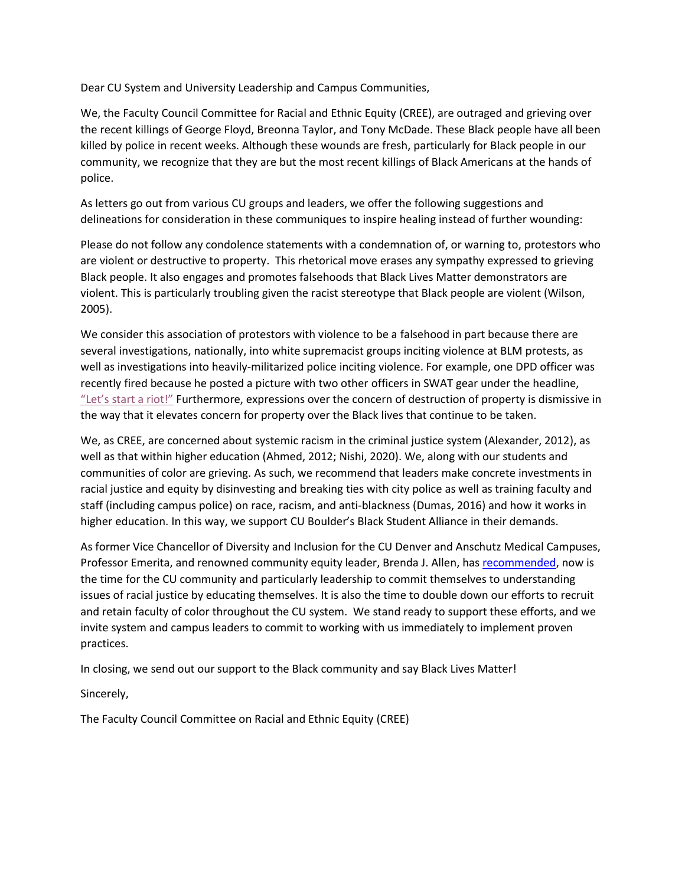Dear CU System and University Leadership and Campus Communities,

We, the Faculty Council Committee for Racial and Ethnic Equity (CREE), are outraged and grieving over the recent killings of George Floyd, Breonna Taylor, and Tony McDade. These Black people have all been killed by police in recent weeks. Although these wounds are fresh, particularly for Black people in our community, we recognize that they are but the most recent killings of Black Americans at the hands of police.

As letters go out from various CU groups and leaders, we offer the following suggestions and delineations for consideration in these communiques to inspire healing instead of further wounding:

Please do not follow any condolence statements with a condemnation of, or warning to, protestors who are violent or destructive to property. This rhetorical move erases any sympathy expressed to grieving Black people. It also engages and promotes falsehoods that Black Lives Matter demonstrators are violent. This is particularly troubling given the racist stereotype that Black people are violent (Wilson, 2005).

We consider this association of protestors with violence to be a falsehood in part because there are several investigations, nationally, into white supremacist groups inciting violence at BLM protests, as well as investigations into heavily-militarized police inciting violence. For example, one DPD officer was recently fired because he posted a picture with two other officers in SWAT gear under the headline, ["Let's start a riot!"](https://www.denverpost.com/2020/06/02/denver-police-officer-fired-lets-start-a-riot-george-floyd-protest/) Furthermore, expressions over the concern of destruction of property is dismissive in the way that it elevates concern for property over the Black lives that continue to be taken.

We, as CREE, are concerned about systemic racism in the criminal justice system (Alexander, 2012), as well as that within higher education (Ahmed, 2012; Nishi, 2020). We, along with our students and communities of color are grieving. As such, we recommend that leaders make concrete investments in racial justice and equity by disinvesting and breaking ties with city police as well as training faculty and staff (including campus police) on race, racism, and anti-blackness (Dumas, 2016) and how it works in higher education. In this way, we support CU Boulder's Black Student Alliance in their demands.

As former Vice Chancellor of Diversity and Inclusion for the CU Denver and Anschutz Medical Campuses, Professor Emerita, and renowned community equity leader, Brenda J. Allen, has [recommended,](https://www.linkedin.com/pulse/message-higher-education-leaders-from-former-chief-allen-phd) now is the time for the CU community and particularly leadership to commit themselves to understanding issues of racial justice by educating themselves. It is also the time to double down our efforts to recruit and retain faculty of color throughout the CU system. We stand ready to support these efforts, and we invite system and campus leaders to commit to working with us immediately to implement proven practices.

In closing, we send out our support to the Black community and say Black Lives Matter!

Sincerely,

The Faculty Council Committee on Racial and Ethnic Equity (CREE)